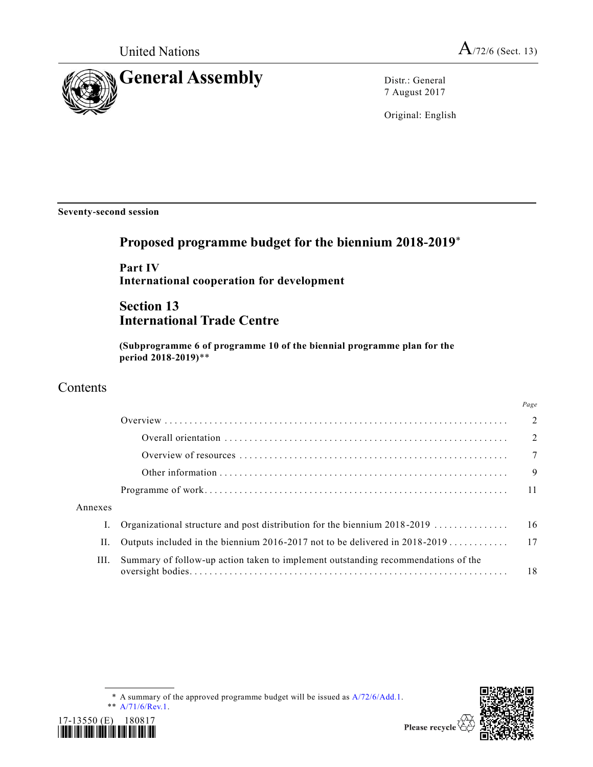

7 August 2017

Original: English

**Seventy-second session**

# **Proposed programme budget for the biennium 2018-2019**\*

**Part IV International cooperation for development**

# **Section 13 International Trade Centre**

**(Subprogramme 6 of programme 10 of the biennial programme plan for the period 2018-2019)**\*\*

# **Contents**

17-13550 (E) 180817 *\*1713550\**

|         |                                                                                   | Page           |
|---------|-----------------------------------------------------------------------------------|----------------|
|         |                                                                                   | $\overline{2}$ |
|         |                                                                                   | $\overline{2}$ |
|         |                                                                                   | $\overline{7}$ |
|         |                                                                                   | 9              |
|         |                                                                                   | $-11$          |
| Annexes |                                                                                   |                |
|         | Organizational structure and post distribution for the biennium $2018 - 2019$     | -16            |
| П.      | Outputs included in the biennium 2016-2017 not to be delivered in 2018-2019 17    |                |
| III.    | Summary of follow-up action taken to implement outstanding recommendations of the | 18             |

\* A summary of the approved programme budget will be issued as [A/72/6/Add.1.](https://undocs.org/A/72/6/Add.1) \*\* [A/71/6/Rev.1.](https://undocs.org/A/71/6/Rev.1)



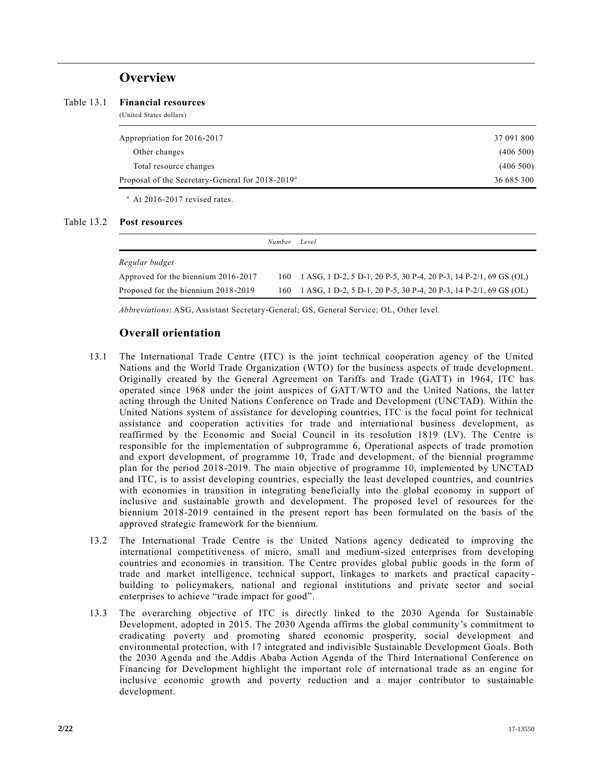# **Overview**

(United States dollars)

| Appropriation for 2016-2017                                  | 37 091 800 |
|--------------------------------------------------------------|------------|
| Other changes                                                | (406 500)  |
| Total resource changes                                       | (406, 500) |
| Proposal of the Secretary-General for 2018-2019 <sup>a</sup> | 36 685 300 |
|                                                              |            |

*<sup>a</sup>* At 2016-2017 revised rates.

### Table 13.2 **Post resources**

L.

|                                     | <i>Number</i> | Level                                                                 |
|-------------------------------------|---------------|-----------------------------------------------------------------------|
| Regular budget                      |               |                                                                       |
| Approved for the biennium 2016-2017 |               | 160 1 ASG, 1 D-2, 5 D-1, 20 P-5, 30 P-4, 20 P-3, 14 P-2/1, 69 GS (OL) |
| Proposed for the biennium 2018-2019 |               | 160 1 ASG, 1 D-2, 5 D-1, 20 P-5, 30 P-4, 20 P-3, 14 P-2/1, 69 GS (OL) |

*Abbreviations*: ASG, Assistant Secretary-General; GS, General Service; OL, Other level.

# **Overall orientation**

- 13.1 The International Trade Centre (ITC) is the joint technical cooperation agency of the United Nations and the World Trade Organization (WTO) for the business aspects of trade development. Originally created by the General Agreement on Tariffs and Trade (GATT) in 1964, ITC has operated since 1968 under the joint auspices of GATT/WTO and the United Nations, the latter acting through the United Nations Conference on Trade and Development (UNCTAD). Within the United Nations system of assistance for developing countries, ITC is the focal point for technical assistance and cooperation activities for trade and international business development, as reaffirmed by the Economic and Social Council in its resolution 1819 (LV). The Centre is responsible for the implementation of subprogramme 6, Operational aspects of trade promotion and export development, of programme 10, Trade and development, of the biennial programme plan for the period 2018-2019. The main objective of programme 10, implemented by UNCTAD and ITC, is to assist developing countries, especially the least developed countries, and countries with economies in transition in integrating beneficially into the global economy in support of inclusive and sustainable growth and development. The proposed level of resources for the biennium 2018-2019 contained in the present report has been formulated on the basis of the approved strategic framework for the biennium.
- 13.2 The International Trade Centre is the United Nations agency dedicated to improving the international competitiveness of micro, small and medium-sized enterprises from developing countries and economies in transition. The Centre provides global public goods in the form of trade and market intelligence, technical support, linkages to markets and practical capacity building to policymakers, national and regional institutions and private sector and social enterprises to achieve "trade impact for good".
- 13.3 The overarching objective of ITC is directly linked to the 2030 Agenda for Sustainable Development, adopted in 2015. The 2030 Agenda affirms the global community's commitment to eradicating poverty and promoting shared economic prosperity, social development and environmental protection, with 17 integrated and indivisible Sustainable Development Goals. Both the 2030 Agenda and the Addis Ababa Action Agenda of the Third International Conference on Financing for Development highlight the important role of international trade as an engine for inclusive economic growth and poverty reduction and a major contributor to sustainable development.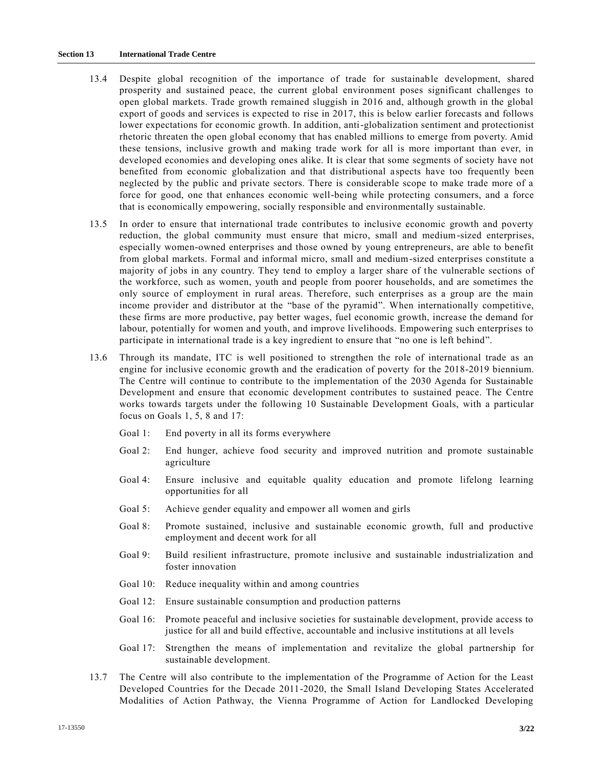### **Section 13 International Trade Centre**

- 13.4 Despite global recognition of the importance of trade for sustainable development, shared prosperity and sustained peace, the current global environment poses significant challenges to open global markets. Trade growth remained sluggish in 2016 and, although growth in the global export of goods and services is expected to rise in 2017, this is below earlier forecasts and follows lower expectations for economic growth. In addition, anti-globalization sentiment and protectionist rhetoric threaten the open global economy that has enabled millions to emerge from poverty. Amid these tensions, inclusive growth and making trade work for all is more important than ever, in developed economies and developing ones alike. It is clear that some segments of society have not benefited from economic globalization and that distributional a spects have too frequently been neglected by the public and private sectors. There is considerable scope to make trade more of a force for good, one that enhances economic well-being while protecting consumers, and a force that is economically empowering, socially responsible and environmentally sustainable.
- 13.5 In order to ensure that international trade contributes to inclusive economic growth and poverty reduction, the global community must ensure that micro, small and medium-sized enterprises, especially women-owned enterprises and those owned by young entrepreneurs, are able to benefit from global markets. Formal and informal micro, small and medium-sized enterprises constitute a majority of jobs in any country. They tend to employ a larger share of the vulnerable sections of the workforce, such as women, youth and people from poorer households, and are sometimes the only source of employment in rural areas. Therefore, such enterprises as a group are the main income provider and distributor at the "base of the pyramid". When internationally competitive, these firms are more productive, pay better wages, fuel economic growth, increase the demand for labour, potentially for women and youth, and improve livelihoods. Empowering such enterprises to participate in international trade is a key ingredient to ensure that "no one is left behind".
- 13.6 Through its mandate, ITC is well positioned to strengthen the role of international trade as an engine for inclusive economic growth and the eradication of poverty for the 2018-2019 biennium. The Centre will continue to contribute to the implementation of the 2030 Agenda for Sustainable Development and ensure that economic development contributes to sustained peace. The Centre works towards targets under the following 10 Sustainable Development Goals, with a particular focus on Goals 1, 5, 8 and 17:
	- Goal 1: End poverty in all its forms everywhere
	- Goal 2: End hunger, achieve food security and improved nutrition and promote sustainable agriculture
	- Goal 4: Ensure inclusive and equitable quality education and promote lifelong learning opportunities for all
	- Goal 5: Achieve gender equality and empower all women and girls
	- Goal 8: Promote sustained, inclusive and sustainable economic growth, full and productive employment and decent work for all
	- Goal 9: Build resilient infrastructure, promote inclusive and sustainable industrialization and foster innovation
	- Goal 10: Reduce inequality within and among countries
	- Goal 12: Ensure sustainable consumption and production patterns
	- Goal 16: Promote peaceful and inclusive societies for sustainable development, provide access to justice for all and build effective, accountable and inclusive institutions at all levels
	- Goal 17: Strengthen the means of implementation and revitalize the global partnership for sustainable development.
- 13.7 The Centre will also contribute to the implementation of the Programme of Action for the Least Developed Countries for the Decade 2011-2020, the Small Island Developing States Accelerated Modalities of Action Pathway, the Vienna Programme of Action for Landlocked Developing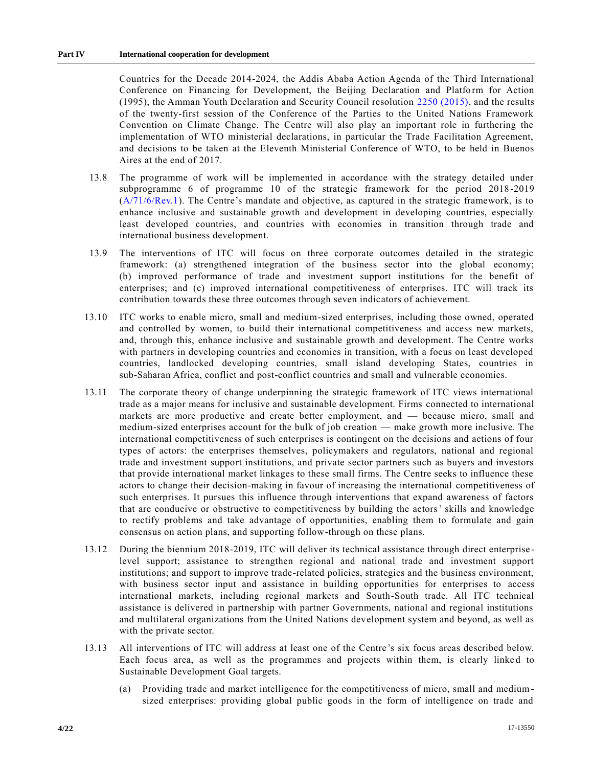Countries for the Decade 2014-2024, the Addis Ababa Action Agenda of the Third International Conference on Financing for Development, the Beijing Declaration and Platform for Action (1995), the Amman Youth Declaration and Security Council resolution [2250 \(2015\),](https://undocs.org/S/RES/2250(2015)) and the results of the twenty-first session of the Conference of the Parties to the United Nations Framework Convention on Climate Change. The Centre will also play an important role in furthering the implementation of WTO ministerial declarations, in particular the Trade Facilitation Agreement, and decisions to be taken at the Eleventh Ministerial Conference of WTO, to be held in Buenos Aires at the end of 2017.

- 13.8 The programme of work will be implemented in accordance with the strategy detailed under subprogramme 6 of programme 10 of the strategic framework for the period 2018 -2019 [\(A/71/6/Rev.1\)](https://undocs.org/A/71/6/Rev.1). The Centre's mandate and objective, as captured in the strategic framework, is to enhance inclusive and sustainable growth and development in developing countries, especially least developed countries, and countries with economies in transition through trade and international business development.
- 13.9 The interventions of ITC will focus on three corporate outcomes detailed in the strategic framework: (a) strengthened integration of the business sector into the global economy; (b) improved performance of trade and investment support institutions for the benefit of enterprises; and (c) improved international competitiveness of enterprises. ITC will track its contribution towards these three outcomes through seven indicators of achievement.
- 13.10 ITC works to enable micro, small and medium-sized enterprises, including those owned, operated and controlled by women, to build their international competitiveness and access new markets, and, through this, enhance inclusive and sustainable growth and development. The Centre works with partners in developing countries and economies in transition, with a focus on least developed countries, landlocked developing countries, small island developing States, countries in sub-Saharan Africa, conflict and post-conflict countries and small and vulnerable economies.
- 13.11 The corporate theory of change underpinning the strategic framework of ITC views international trade as a major means for inclusive and sustainable development. Firms connected to international markets are more productive and create better employment, and — because micro, small and medium-sized enterprises account for the bulk of job creation — make growth more inclusive. The international competitiveness of such enterprises is contingent on the decisions and actions of four types of actors: the enterprises themselves, policymakers and regulators, national and regional trade and investment support institutions, and private sector partners such as buyers and investors that provide international market linkages to these small firms. The Centre seeks to influence these actors to change their decision-making in favour of increasing the international competitiveness of such enterprises. It pursues this influence through interventions that expand awareness of factors that are conducive or obstructive to competitiveness by building the actors' skills and knowledge to rectify problems and take advantage of opportunities, enabling them to formulate and gain consensus on action plans, and supporting follow-through on these plans.
- 13.12 During the biennium 2018-2019, ITC will deliver its technical assistance through direct enterprise level support; assistance to strengthen regional and national trade and investment support institutions; and support to improve trade-related policies, strategies and the business environment, with business sector input and assistance in building opportunities for enterprises to access international markets, including regional markets and South-South trade. All ITC technical assistance is delivered in partnership with partner Governments, national and regional institutions and multilateral organizations from the United Nations development system and beyond, as well as with the private sector.
- 13.13 All interventions of ITC will address at least one of the Centre 's six focus areas described below. Each focus area, as well as the programmes and projects within them, is clearly linked to Sustainable Development Goal targets.
	- (a) Providing trade and market intelligence for the competitiveness of micro, small and mediumsized enterprises: providing global public goods in the form of intelligence on trade and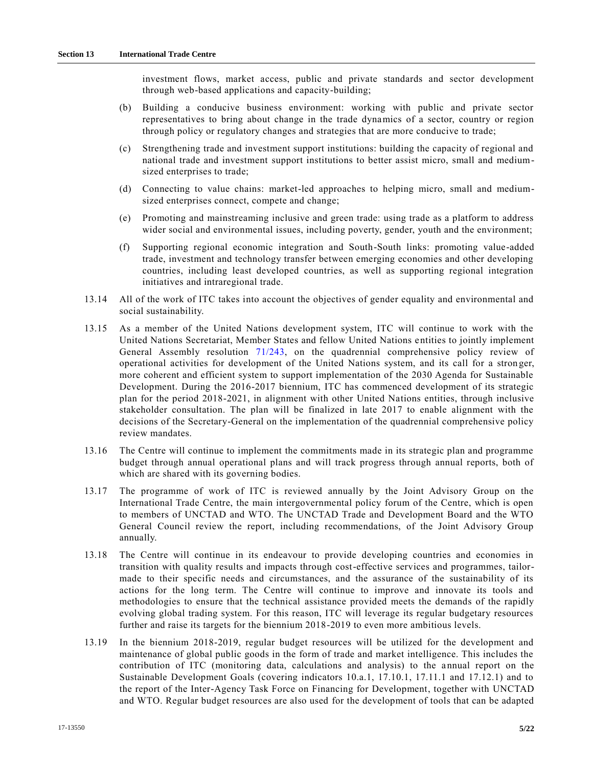investment flows, market access, public and private standards and sector development through web-based applications and capacity-building;

- (b) Building a conducive business environment: working with public and private sector representatives to bring about change in the trade dynamics of a sector, country or region through policy or regulatory changes and strategies that are more conducive to trade;
- (c) Strengthening trade and investment support institutions: building the capacity of regional and national trade and investment support institutions to better assist micro, small and mediumsized enterprises to trade;
- (d) Connecting to value chains: market-led approaches to helping micro, small and mediumsized enterprises connect, compete and change;
- (e) Promoting and mainstreaming inclusive and green trade: using trade as a platform to address wider social and environmental issues, including poverty, gender, youth and the environment;
- (f) Supporting regional economic integration and South-South links: promoting value-added trade, investment and technology transfer between emerging economies and other developing countries, including least developed countries, as well as supporting regional integration initiatives and intraregional trade.
- 13.14 All of the work of ITC takes into account the objectives of gender equality and environmental and social sustainability.
- 13.15 As a member of the United Nations development system, ITC will continue to work with the United Nations Secretariat, Member States and fellow United Nations entities to jointly implement General Assembly resolution [71/243,](https://undocs.org/A/RES/71/243) on the quadrennial comprehensive policy review of operational activities for development of the United Nations system, and its call for a stron ger, more coherent and efficient system to support implementation of the 2030 Agenda for Sustainable Development. During the 2016-2017 biennium, ITC has commenced development of its strategic plan for the period 2018-2021, in alignment with other United Nations entities, through inclusive stakeholder consultation. The plan will be finalized in late 2017 to enable alignment with the decisions of the Secretary-General on the implementation of the quadrennial comprehensive policy review mandates.
- 13.16 The Centre will continue to implement the commitments made in its strategic plan and programme budget through annual operational plans and will track progress through annual reports, both of which are shared with its governing bodies.
- 13.17 The programme of work of ITC is reviewed annually by the Joint Advisory Group on the International Trade Centre, the main intergovernmental policy forum of the Centre, which is open to members of UNCTAD and WTO. The UNCTAD Trade and Development Board and the WTO General Council review the report, including recommendations, of the Joint Advisory Group annually.
- 13.18 The Centre will continue in its endeavour to provide developing countries and economies in transition with quality results and impacts through cost-effective services and programmes, tailormade to their specific needs and circumstances, and the assurance of the sustainability of its actions for the long term. The Centre will continue to improve and innovate its tools and methodologies to ensure that the technical assistance provided meets the demands of the rapidly evolving global trading system. For this reason, ITC will leverage its regular budgetary resources further and raise its targets for the biennium 2018-2019 to even more ambitious levels.
- 13.19 In the biennium 2018-2019, regular budget resources will be utilized for the development and maintenance of global public goods in the form of trade and market intelligence. This includes the contribution of ITC (monitoring data, calculations and analysis) to the annual report on the Sustainable Development Goals (covering indicators 10.a.1, 17.10.1, 17.11.1 and 17.12.1) and to the report of the Inter-Agency Task Force on Financing for Development, together with UNCTAD and WTO. Regular budget resources are also used for the development of tools that can be adapted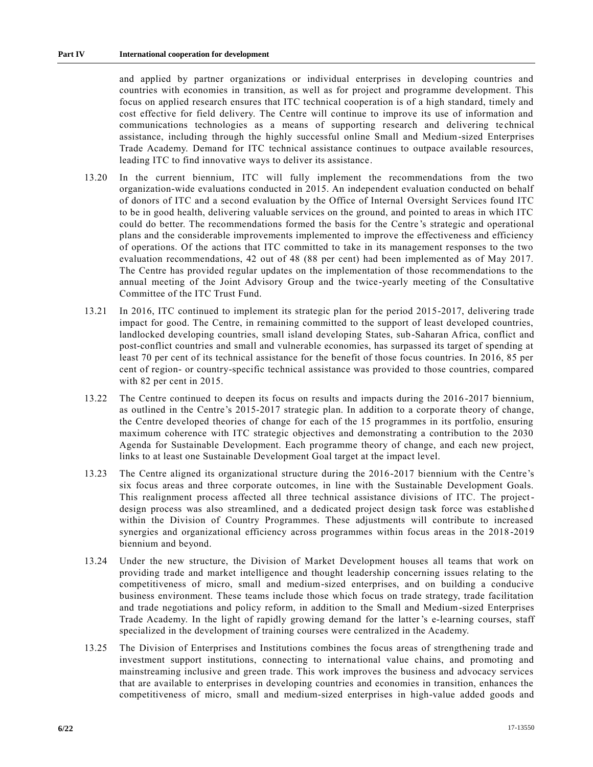and applied by partner organizations or individual enterprises in developing countries and countries with economies in transition, as well as for project and programme development. This focus on applied research ensures that ITC technical cooperation is of a high standard, timely and cost effective for field delivery. The Centre will continue to improve its use of information and communications technologies as a means of supporting research and delivering te chnical assistance, including through the highly successful online Small and Medium-sized Enterprises Trade Academy. Demand for ITC technical assistance continues to outpace available resources, leading ITC to find innovative ways to deliver its assistance.

- 13.20 In the current biennium, ITC will fully implement the recommendations from the two organization-wide evaluations conducted in 2015. An independent evaluation conducted on behalf of donors of ITC and a second evaluation by the Office of Internal Oversight Services found ITC to be in good health, delivering valuable services on the ground, and pointed to areas in which ITC could do better. The recommendations formed the basis for the Centre 's strategic and operational plans and the considerable improvements implemented to improve the effectiveness and efficiency of operations. Of the actions that ITC committed to take in its management responses to the two evaluation recommendations, 42 out of 48 (88 per cent) had been implemented as of May 2017. The Centre has provided regular updates on the implementation of those recommendations to the annual meeting of the Joint Advisory Group and the twice-yearly meeting of the Consultative Committee of the ITC Trust Fund.
- 13.21 In 2016, ITC continued to implement its strategic plan for the period 2015-2017, delivering trade impact for good. The Centre, in remaining committed to the support of least developed countries, landlocked developing countries, small island developing States, sub-Saharan Africa, conflict and post-conflict countries and small and vulnerable economies, has surpassed its target of spending at least 70 per cent of its technical assistance for the benefit of those focus countries. In 2016, 85 per cent of region- or country-specific technical assistance was provided to those countries, compared with 82 per cent in 2015.
- 13.22 The Centre continued to deepen its focus on results and impacts during the 2016 -2017 biennium, as outlined in the Centre's 2015-2017 strategic plan. In addition to a corporate theory of change, the Centre developed theories of change for each of the 15 programmes in its portfolio, ensuring maximum coherence with ITC strategic objectives and demonstrating a contribution to the 2030 Agenda for Sustainable Development. Each programme theory of change, and each new project, links to at least one Sustainable Development Goal target at the impact level.
- 13.23 The Centre aligned its organizational structure during the 2016-2017 biennium with the Centre's six focus areas and three corporate outcomes, in line with the Sustainable Development Goals. This realignment process affected all three technical assistance divisions of ITC. The projectdesign process was also streamlined, and a dedicated project design task force was established within the Division of Country Programmes. These adjustments will contribute to increased synergies and organizational efficiency across programmes within focus areas in the 2018 -2019 biennium and beyond.
- 13.24 Under the new structure, the Division of Market Development houses all teams that work on providing trade and market intelligence and thought leadership concerning issues relating to the competitiveness of micro, small and medium-sized enterprises, and on building a conducive business environment. These teams include those which focus on trade strategy, trade facilitation and trade negotiations and policy reform, in addition to the Small and Medium-sized Enterprises Trade Academy. In the light of rapidly growing demand for the latter's e-learning courses, staff specialized in the development of training courses were centralized in the Academy.
- 13.25 The Division of Enterprises and Institutions combines the focus areas of strengthening trade and investment support institutions, connecting to international value chains, and promoting and mainstreaming inclusive and green trade. This work improves the business and advocacy services that are available to enterprises in developing countries and economies in transition, enhances the competitiveness of micro, small and medium-sized enterprises in high-value added goods and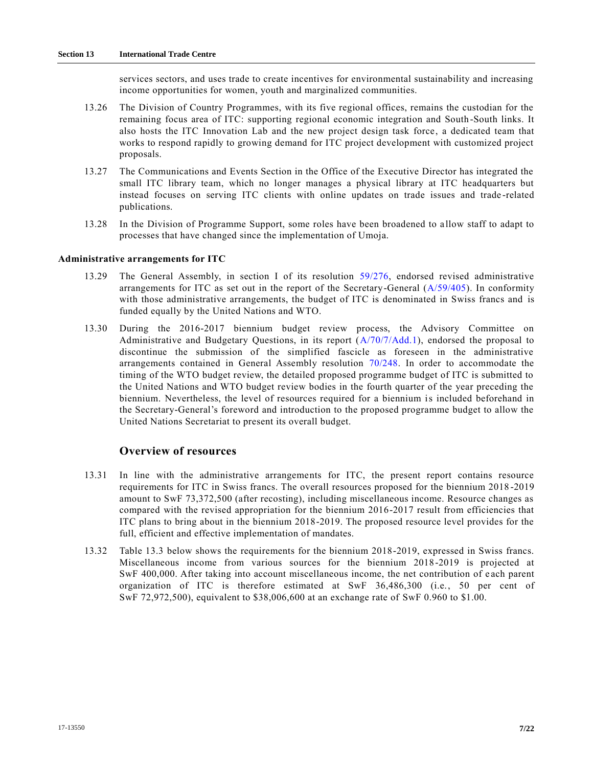services sectors, and uses trade to create incentives for environmental sustainability and increasing income opportunities for women, youth and marginalized communities.

- 13.26 The Division of Country Programmes, with its five regional offices, remains the custodian for the remaining focus area of ITC: supporting regional economic integration and South -South links. It also hosts the ITC Innovation Lab and the new project design task force, a dedicated team that works to respond rapidly to growing demand for ITC project development with customized project proposals.
- 13.27 The Communications and Events Section in the Office of the Executive Director has integrated the small ITC library team, which no longer manages a physical library at ITC headquarters but instead focuses on serving ITC clients with online updates on trade issues and trade -related publications.
- 13.28 In the Division of Programme Support, some roles have been broadened to a llow staff to adapt to processes that have changed since the implementation of Umoja.

#### **Administrative arrangements for ITC**

- 13.29 The General Assembly, in section I of its resolution [59/276,](https://undocs.org/A/RES/59/276) endorsed revised administrative arrangements for ITC as set out in the report of the Secretary-General [\(A/59/405\)](https://undocs.org/A/59/405). In conformity with those administrative arrangements, the budget of ITC is denominated in Swiss francs and is funded equally by the United Nations and WTO.
- 13.30 During the 2016-2017 biennium budget review process, the Advisory Committee on Administrative and Budgetary Questions, in its report [\(A/70/7/Add.1\)](https://undocs.org/A/70/7/Add.1), endorsed the proposal to discontinue the submission of the simplified fascicle as foreseen in the administrative arrangements contained in General Assembly resolution [70/248.](https://undocs.org/A/RES/70/248) In order to accommodate the timing of the WTO budget review, the detailed proposed programme budget of ITC is submitted to the United Nations and WTO budget review bodies in the fourth quarter of the year preceding the biennium. Nevertheless, the level of resources required for a biennium is included beforehand in the Secretary-General's foreword and introduction to the proposed programme budget to allow the United Nations Secretariat to present its overall budget.

## **Overview of resources**

- 13.31 In line with the administrative arrangements for ITC, the present report contains resource requirements for ITC in Swiss francs. The overall resources proposed for the biennium 2018 -2019 amount to SwF 73,372,500 (after recosting), including miscellaneous income. Resource changes as compared with the revised appropriation for the biennium 2016-2017 result from efficiencies that ITC plans to bring about in the biennium 2018-2019. The proposed resource level provides for the full, efficient and effective implementation of mandates.
- 13.32 Table 13.3 below shows the requirements for the biennium 2018-2019, expressed in Swiss francs. Miscellaneous income from various sources for the biennium 2018-2019 is projected at SwF 400,000. After taking into account miscellaneous income, the net contribution of e ach parent organization of ITC is therefore estimated at SwF 36,486,300 (i.e., 50 per cent of SwF 72,972,500), equivalent to \$38,006,600 at an exchange rate of SwF 0.960 to \$1.00.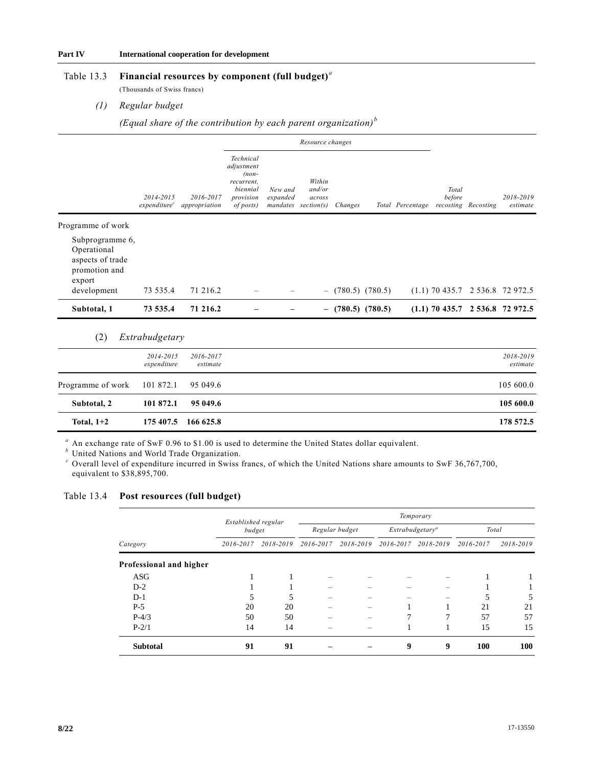## Table 13.3 **Financial resources by component (full budget)***<sup>a</sup>*

(Thousands of Swiss francs)

#### *(1) Regular budget*

*(Equal share of the contribution by each parent organization) <sup>b</sup>*

|                                                                               |                                       |                            | Resource changes                                                                       |                     |                                                      |         |                     |                  |                 |                     |                                   |
|-------------------------------------------------------------------------------|---------------------------------------|----------------------------|----------------------------------------------------------------------------------------|---------------------|------------------------------------------------------|---------|---------------------|------------------|-----------------|---------------------|-----------------------------------|
|                                                                               | 2014-2015<br>expenditure <sup>c</sup> | 2016-2017<br>appropriation | Technical<br>adjustment<br>$(non-$<br>recurrent.<br>biennial<br>provision<br>of posts) | New and<br>expanded | Within<br>and/or<br>across<br>$mandates\ section(s)$ | Changes |                     | Total Percentage | Total<br>before | recosting Recosting | 2018-2019<br>estimate             |
| Programme of work                                                             |                                       |                            |                                                                                        |                     |                                                      |         |                     |                  |                 |                     |                                   |
| Subprogramme 6,<br>Operational<br>aspects of trade<br>promotion and<br>export |                                       |                            |                                                                                        |                     |                                                      |         |                     |                  |                 |                     |                                   |
| development                                                                   | 73 535.4                              | 71 216.2                   |                                                                                        |                     |                                                      |         | $-$ (780.5) (780.5) |                  |                 |                     | $(1.1)$ 70 435.7 2 536.8 72 972.5 |
| Subtotal, 1                                                                   | 73 535.4                              | 71 216.2                   |                                                                                        |                     | $-$                                                  |         | $(780.5)$ $(780.5)$ |                  |                 |                     | $(1.1)$ 70 435.7 2 536.8 72 972.5 |

# (2) *Extrabudgetary*

|                             | 2014-2015<br>expenditure | 2016-2017<br>estimate | 2018-2019<br>estimate |
|-----------------------------|--------------------------|-----------------------|-----------------------|
| Programme of work 101 872.1 |                          | 95 049.6              | 105 600.0             |
| Subtotal, 2                 | 101 872.1                | 95 049.6              | 105 600.0             |
| Total, $1+2$                |                          | 175 407.5 166 625.8   | 178 572.5             |

*<sup>a</sup>* An exchange rate of SwF 0.96 to \$1.00 is used to determine the United States dollar equivalent.

*b* United Nations and World Trade Organization.

*<sup>c</sup>* Overall level of expenditure incurred in Swiss francs, of which the United Nations share amounts to SwF 36,767,700, equivalent to \$38,895,700.

# Table 13.4 **Post resources (full budget)**

|                         | Established regular<br>budget |           | Temporary      |           |                    |           |           |           |  |
|-------------------------|-------------------------------|-----------|----------------|-----------|--------------------|-----------|-----------|-----------|--|
|                         |                               |           | Regular budget |           | $Extrabudgetary^a$ |           | Total     |           |  |
| Category                | 2016-2017                     | 2018-2019 | 2016-2017      | 2018-2019 | 2016-2017          | 2018-2019 | 2016-2017 | 2018-2019 |  |
| Professional and higher |                               |           |                |           |                    |           |           |           |  |
| ASG                     |                               |           |                |           |                    |           |           |           |  |
| $D-2$                   |                               |           |                |           |                    |           |           |           |  |
| $D-1$                   | 5                             | 5         |                |           |                    |           |           | 5         |  |
| $P-5$                   | 20                            | 20        |                |           |                    |           | 21        | 21        |  |
| $P-4/3$                 | 50                            | 50        |                |           |                    | 7         | 57        | 57        |  |
| $P-2/1$                 | 14                            | 14        |                |           |                    |           | 15        | 15        |  |
| <b>Subtotal</b>         | 91                            | 91        |                |           | 9                  | 9         | 100       | 100       |  |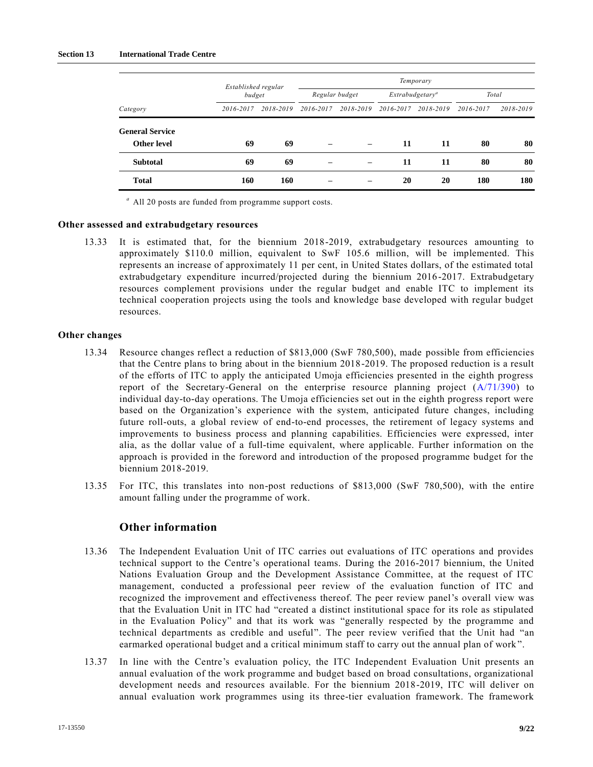### **Section 13 International Trade Centre**

|                        |           | Established regular<br>budget |           | Temporary      |           |                    |           |           |  |  |  |
|------------------------|-----------|-------------------------------|-----------|----------------|-----------|--------------------|-----------|-----------|--|--|--|
|                        |           |                               |           | Regular budget |           | $Extrabudgetary^a$ |           | Total     |  |  |  |
| Category               | 2016-2017 | 2018-2019                     | 2016-2017 | 2018-2019      | 2016-2017 | 2018-2019          | 2016-2017 | 2018-2019 |  |  |  |
| <b>General Service</b> |           |                               |           |                |           |                    |           |           |  |  |  |
| <b>Other level</b>     | 69        | 69                            |           |                | 11        | 11                 | 80        | 80        |  |  |  |
| <b>Subtotal</b>        | 69        | 69                            |           |                | 11        | 11                 | 80        | 80        |  |  |  |
| <b>Total</b>           | 160       | 160                           |           |                | 20        | 20                 | 180       | 180       |  |  |  |

*<sup>a</sup>* All 20 posts are funded from programme support costs.

#### **Other assessed and extrabudgetary resources**

13.33 It is estimated that, for the biennium 2018-2019, extrabudgetary resources amounting to approximately \$110.0 million, equivalent to SwF 105.6 million, will be implemented. This represents an increase of approximately 11 per cent, in United States dollars, of the estimated total extrabudgetary expenditure incurred/projected during the biennium 2016 -2017. Extrabudgetary resources complement provisions under the regular budget and enable ITC to implement its technical cooperation projects using the tools and knowledge base developed with regular budget resources.

### **Other changes**

- 13.34 Resource changes reflect a reduction of \$813,000 (SwF 780,500), made possible from efficiencies that the Centre plans to bring about in the biennium 2018-2019. The proposed reduction is a result of the efforts of ITC to apply the anticipated Umoja efficiencies presented in the eighth progress report of the Secretary-General on the enterprise resource planning project [\(A/71/390\)](https://undocs.org/A/71/390) to individual day-to-day operations. The Umoja efficiencies set out in the eighth progress report were based on the Organization's experience with the system, anticipated future changes, including future roll-outs, a global review of end-to-end processes, the retirement of legacy systems and improvements to business process and planning capabilities. Efficiencies were expressed, inter alia, as the dollar value of a full-time equivalent, where applicable. Further information on the approach is provided in the foreword and introduction of the proposed programme budget for the biennium 2018-2019.
- 13.35 For ITC, this translates into non-post reductions of \$813,000 (SwF 780,500), with the entire amount falling under the programme of work.

# **Other information**

- 13.36 The Independent Evaluation Unit of ITC carries out evaluations of ITC operations and provides technical support to the Centre's operational teams. During the 2016-2017 biennium, the United Nations Evaluation Group and the Development Assistance Committee, at the request of ITC management, conducted a professional peer review of the evaluation function of ITC and recognized the improvement and effectiveness thereof. The peer review panel's overall view was that the Evaluation Unit in ITC had "created a distinct institutional space for its role as stipulated in the Evaluation Policy" and that its work was "generally respected by the programme and technical departments as credible and useful". The peer review verified that the Unit had "an earmarked operational budget and a critical minimum staff to carry out the annual plan of work ".
- 13.37 In line with the Centre's evaluation policy, the ITC Independent Evaluation Unit presents an annual evaluation of the work programme and budget based on broad consultations, organizational development needs and resources available. For the biennium 2018-2019, ITC will deliver on annual evaluation work programmes using its three-tier evaluation framework. The framework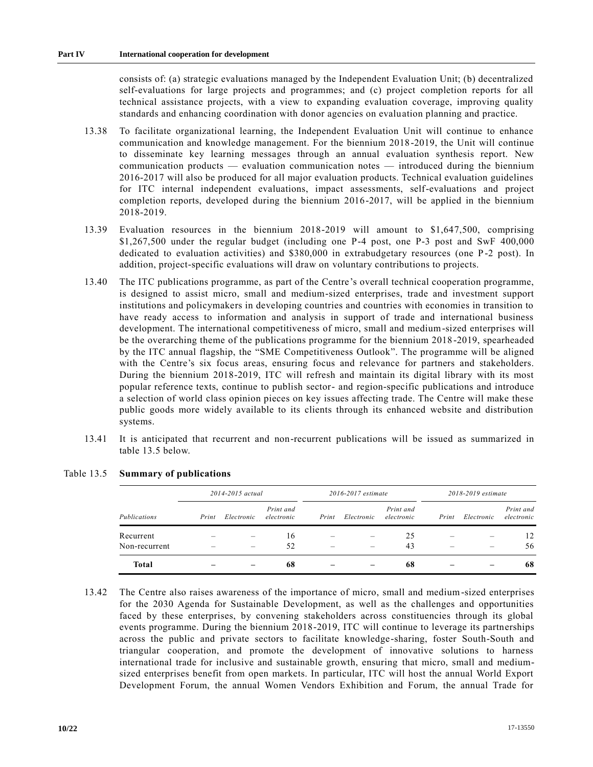consists of: (a) strategic evaluations managed by the Independent Evaluation Unit; (b) decentralized self-evaluations for large projects and programmes; and (c) project completion reports for all technical assistance projects, with a view to expanding evaluation coverage, improving quality standards and enhancing coordination with donor agencies on evaluation planning and practice.

- 13.38 To facilitate organizational learning, the Independent Evaluation Unit will continue to enhance communication and knowledge management. For the biennium 2018-2019, the Unit will continue to disseminate key learning messages through an annual evaluation synthesis report. New communication products — evaluation communication notes — introduced during the biennium 2016-2017 will also be produced for all major evaluation products. Technical evaluation guidelines for ITC internal independent evaluations, impact assessments, self-evaluations and project completion reports, developed during the biennium 2016-2017, will be applied in the biennium 2018-2019.
- 13.39 Evaluation resources in the biennium 2018-2019 will amount to \$1,647,500, comprising \$1,267,500 under the regular budget (including one P-4 post, one P-3 post and SwF 400,000 dedicated to evaluation activities) and \$380,000 in extrabudgetary resources (one P -2 post). In addition, project-specific evaluations will draw on voluntary contributions to projects.
- 13.40 The ITC publications programme, as part of the Centre's overall technical cooperation programme, is designed to assist micro, small and medium-sized enterprises, trade and investment support institutions and policymakers in developing countries and countries with economies in transition to have ready access to information and analysis in support of trade and international business development. The international competitiveness of micro, small and medium-sized enterprises will be the overarching theme of the publications programme for the biennium 2018 -2019, spearheaded by the ITC annual flagship, the "SME Competitiveness Outlook". The programme will be aligned with the Centre's six focus areas, ensuring focus and relevance for partners and stakeholders. During the biennium 2018-2019, ITC will refresh and maintain its digital library with its most popular reference texts, continue to publish sector- and region-specific publications and introduce a selection of world class opinion pieces on key issues affecting trade. The Centre will make these public goods more widely available to its clients through its enhanced website and distribution systems.
- 13.41 It is anticipated that recurrent and non-recurrent publications will be issued as summarized in table 13.5 below.

|               | 2014-2015 actual |            |                         |       | 2016-2017 estimate |                         | 2018-2019 estimate |            |                         |
|---------------|------------------|------------|-------------------------|-------|--------------------|-------------------------|--------------------|------------|-------------------------|
| Publications  | Print            | Electronic | Print and<br>electronic | Print | Electronic         | Print and<br>electronic | Print              | Electronic | Print and<br>electronic |
| Recurrent     |                  |            | 16                      |       |                    | 25                      |                    |            | 12                      |
| Non-recurrent |                  |            | 52                      |       |                    | 43                      |                    |            | 56                      |
| <b>Total</b>  |                  |            | 68                      |       |                    | 68                      |                    |            | -68                     |

# Table 13.5 **Summary of publications**

13.42 The Centre also raises awareness of the importance of micro, small and medium-sized enterprises for the 2030 Agenda for Sustainable Development, as well as the challenges and opportunities faced by these enterprises, by convening stakeholders across constituencies through its global events programme. During the biennium 2018-2019, ITC will continue to leverage its partnerships across the public and private sectors to facilitate knowledge-sharing, foster South-South and triangular cooperation, and promote the development of innovative solutions to harness international trade for inclusive and sustainable growth, ensuring that micro, small and mediumsized enterprises benefit from open markets. In particular, ITC will host the annual World Export Development Forum, the annual Women Vendors Exhibition and Forum, the annual Trade for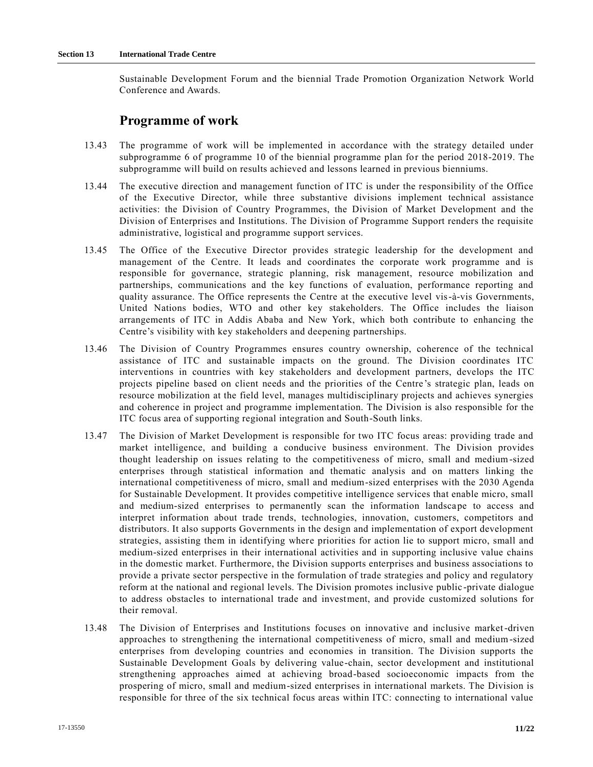Sustainable Development Forum and the biennial Trade Promotion Organization Network World Conference and Awards.

# **Programme of work**

- 13.43 The programme of work will be implemented in accordance with the strategy detailed under subprogramme 6 of programme 10 of the biennial programme plan for the period 2018-2019. The subprogramme will build on results achieved and lessons learned in previous bienniums.
- 13.44 The executive direction and management function of ITC is under the responsibility of the Office of the Executive Director, while three substantive divisions implement technical assistance activities: the Division of Country Programmes, the Division of Market Development and the Division of Enterprises and Institutions. The Division of Programme Support renders the requisite administrative, logistical and programme support services.
- 13.45 The Office of the Executive Director provides strategic leadership for the development and management of the Centre. It leads and coordinates the corporate work programme and is responsible for governance, strategic planning, risk management, resource mobilization and partnerships, communications and the key functions of evaluation, performance reporting and quality assurance. The Office represents the Centre at the executive level vis-à-vis Governments, United Nations bodies, WTO and other key stakeholders. The Office includes the liaison arrangements of ITC in Addis Ababa and New York, which both contribute to enhancing the Centre's visibility with key stakeholders and deepening partnerships.
- 13.46 The Division of Country Programmes ensures country ownership, coherence of the technical assistance of ITC and sustainable impacts on the ground. The Division coordinates ITC interventions in countries with key stakeholders and development partners, develops the ITC projects pipeline based on client needs and the priorities of the Centre 's strategic plan, leads on resource mobilization at the field level, manages multidisciplinary projects and achieves synergies and coherence in project and programme implementation. The Division is also responsible for the ITC focus area of supporting regional integration and South-South links.
- 13.47 The Division of Market Development is responsible for two ITC focus areas: providing trade and market intelligence, and building a conducive business environment. The Division provides thought leadership on issues relating to the competitiveness of micro, small and medium-sized enterprises through statistical information and thematic analysis and on matters linking the international competitiveness of micro, small and medium-sized enterprises with the 2030 Agenda for Sustainable Development. It provides competitive intelligence services that enable micro, small and medium-sized enterprises to permanently scan the information landscape to access and interpret information about trade trends, technologies, innovation, customers, competitors and distributors. It also supports Governments in the design and implementation of export development strategies, assisting them in identifying where priorities for action lie to support micro, small and medium-sized enterprises in their international activities and in supporting inclusive value chains in the domestic market. Furthermore, the Division supports enterprises and business associations to provide a private sector perspective in the formulation of trade strategies and policy and regulatory reform at the national and regional levels. The Division promotes inclusive public -private dialogue to address obstacles to international trade and investment, and provide customized solutions for their removal.
- 13.48 The Division of Enterprises and Institutions focuses on innovative and inclusive market-driven approaches to strengthening the international competitiveness of micro, small and medium-sized enterprises from developing countries and economies in transition. The Division supports the Sustainable Development Goals by delivering value-chain, sector development and institutional strengthening approaches aimed at achieving broad-based socioeconomic impacts from the prospering of micro, small and medium-sized enterprises in international markets. The Division is responsible for three of the six technical focus areas within ITC: connecting to international value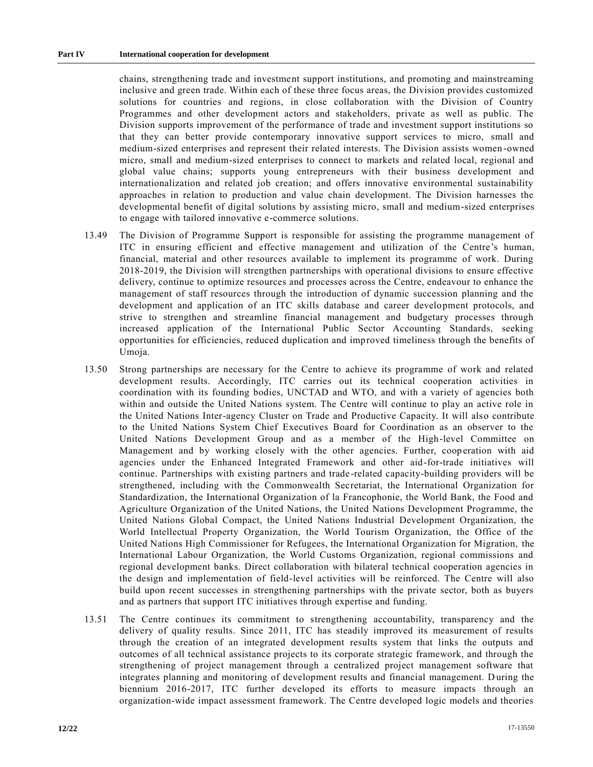chains, strengthening trade and investment support institutions, and promoting and mainstreaming inclusive and green trade. Within each of these three focus areas, the Division provides customized solutions for countries and regions, in close collaboration with the Division of Country Programmes and other development actors and stakeholders, private as well as public. The Division supports improvement of the performance of trade and investment support institutions so that they can better provide contemporary innovative support services to micro, small and medium-sized enterprises and represent their related interests. The Division assists women -owned micro, small and medium-sized enterprises to connect to markets and related local, regional and global value chains; supports young entrepreneurs with their business development and internationalization and related job creation; and offers innovative environmental sustainability approaches in relation to production and value chain development. The Division harnesses the developmental benefit of digital solutions by assisting micro, small and medium-sized enterprises to engage with tailored innovative e-commerce solutions.

- 13.49 The Division of Programme Support is responsible for assisting the programme management of ITC in ensuring efficient and effective management and utilization of the Centre's human, financial, material and other resources available to implement its programme of work. During 2018-2019, the Division will strengthen partnerships with operational divisions to ensure effective delivery, continue to optimize resources and processes across the Centre, endeavour to enhance the management of staff resources through the introduction of dynamic succession planning and the development and application of an ITC skills database and career development protocols, and strive to strengthen and streamline financial management and budgetary processes through increased application of the International Public Sector Accounting Standards, seeking opportunities for efficiencies, reduced duplication and improved timeliness through the benefits of Umoja.
- 13.50 Strong partnerships are necessary for the Centre to achieve its programme of work and related development results. Accordingly, ITC carries out its technical cooperation activities in coordination with its founding bodies, UNCTAD and WTO, and with a variety of agencies both within and outside the United Nations system. The Centre will continue to play an active role in the United Nations Inter-agency Cluster on Trade and Productive Capacity. It will also contribute to the United Nations System Chief Executives Board for Coordination as an observer to the United Nations Development Group and as a member of the High-level Committee on Management and by working closely with the other agencies. Further, cooperation with aid agencies under the Enhanced Integrated Framework and other aid-for-trade initiatives will continue. Partnerships with existing partners and trade-related capacity-building providers will be strengthened, including with the Commonwealth Secretariat, the International Organization for Standardization, the International Organization of la Francophonie, the World Bank, the Food and Agriculture Organization of the United Nations, the United Nations Development Programme, the United Nations Global Compact, the United Nations Industrial Development Organization, the World Intellectual Property Organization, the World Tourism Organization, the Office of the United Nations High Commissioner for Refugees, the International Organization for Migration, the International Labour Organization, the World Customs Organization, regional commissions and regional development banks. Direct collaboration with bilateral technical cooperation agencies in the design and implementation of field-level activities will be reinforced. The Centre will also build upon recent successes in strengthening partnerships with the private sector, both as buyers and as partners that support ITC initiatives through expertise and funding.
- 13.51 The Centre continues its commitment to strengthening accountability, transparency and the delivery of quality results. Since 2011, ITC has steadily improved its measurement of results through the creation of an integrated development results system that links the outputs and outcomes of all technical assistance projects to its corporate strategic framework, and through the strengthening of project management through a centralized project management software that integrates planning and monitoring of development results and financial management. D uring the biennium 2016-2017, ITC further developed its efforts to measure impacts through an organization-wide impact assessment framework. The Centre developed logic models and theories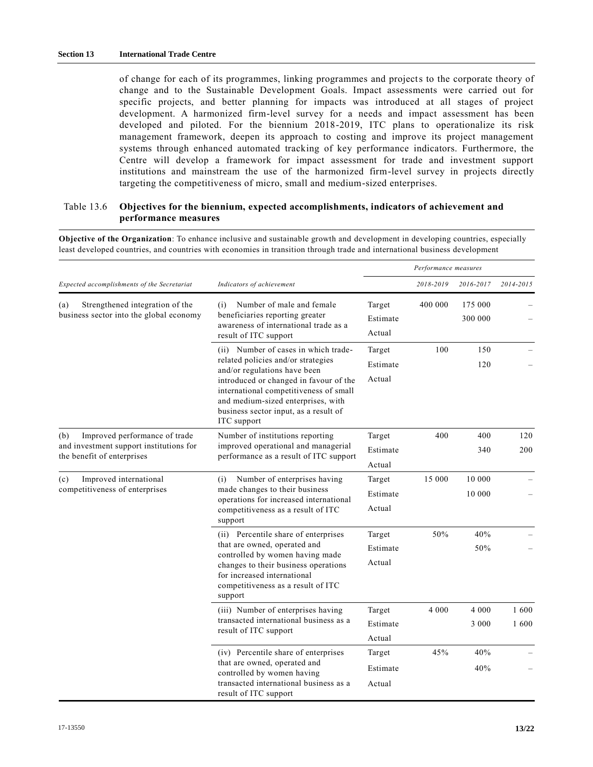of change for each of its programmes, linking programmes and projects to the corporate theory of change and to the Sustainable Development Goals. Impact assessments were carried out for specific projects, and better planning for impacts was introduced at all stages of project development. A harmonized firm-level survey for a needs and impact assessment has been developed and piloted. For the biennium 2018-2019, ITC plans to operationalize its risk management framework, deepen its approach to costing and improve its project management systems through enhanced automated tracking of key performance indicators. Furthermore, the Centre will develop a framework for impact assessment for trade and investment support institutions and mainstream the use of the harmonized firm-level survey in projects directly targeting the competitiveness of micro, small and medium-sized enterprises.

## Table 13.6 **Objectives for the biennium, expected accomplishments, indicators of achievement and performance measures**

**Objective of the Organization**: To enhance inclusive and sustainable growth and development in developing countries, especially least developed countries, and countries with economies in transition through trade and international business development

|                                                                                                               |                                                                                                                                                                                                                                                                                              |                              | Performance measures |                    |              |
|---------------------------------------------------------------------------------------------------------------|----------------------------------------------------------------------------------------------------------------------------------------------------------------------------------------------------------------------------------------------------------------------------------------------|------------------------------|----------------------|--------------------|--------------|
| Expected accomplishments of the Secretariat                                                                   | Indicators of achievement                                                                                                                                                                                                                                                                    |                              | 2018-2019            | 2016-2017          | 2014-2015    |
| Strengthened integration of the<br>(a)<br>business sector into the global economy                             | Number of male and female<br>(i)<br>beneficiaries reporting greater<br>awareness of international trade as a<br>result of ITC support                                                                                                                                                        | Target<br>Estimate<br>Actual | 400 000              | 175 000<br>300 000 |              |
|                                                                                                               | (ii) Number of cases in which trade-<br>related policies and/or strategies<br>and/or regulations have been<br>introduced or changed in favour of the<br>international competitiveness of small<br>and medium-sized enterprises, with<br>business sector input, as a result of<br>ITC support |                              | 100                  | 150<br>120         |              |
| Improved performance of trade<br>(b)<br>and investment support institutions for<br>the benefit of enterprises | Number of institutions reporting<br>improved operational and managerial<br>performance as a result of ITC support                                                                                                                                                                            | Target<br>Estimate<br>Actual | 400                  | 400<br>340         | 120<br>200   |
| Improved international<br>(c)<br>competitiveness of enterprises                                               | Number of enterprises having<br>(i)<br>made changes to their business<br>operations for increased international<br>competitiveness as a result of ITC<br>support                                                                                                                             | Target<br>Estimate<br>Actual | 15 000               | 10 000<br>10 000   |              |
|                                                                                                               | (ii) Percentile share of enterprises<br>that are owned, operated and<br>controlled by women having made<br>changes to their business operations<br>for increased international<br>competitiveness as a result of ITC<br>support                                                              | Target<br>Estimate<br>Actual | 50%                  | 40%<br>50%         |              |
|                                                                                                               | (iii) Number of enterprises having<br>transacted international business as a<br>result of ITC support                                                                                                                                                                                        | Target<br>Estimate<br>Actual | 4 0 0 0              | 4 0 0 0<br>3 0 0 0 | 1600<br>1600 |
|                                                                                                               | (iv) Percentile share of enterprises<br>that are owned, operated and<br>controlled by women having<br>transacted international business as a<br>result of ITC support                                                                                                                        | Target<br>Estimate<br>Actual | 45%                  | 40%<br>40%         |              |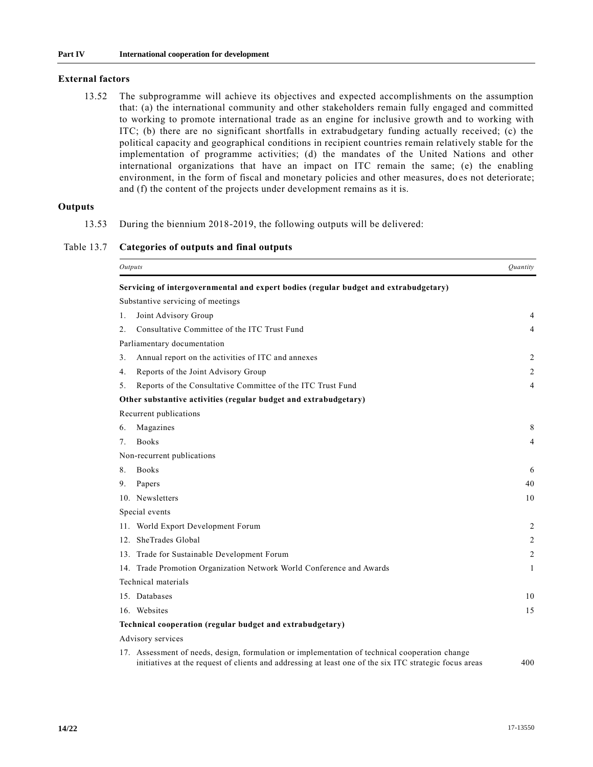## **External factors**

13.52 The subprogramme will achieve its objectives and expected accomplishments on the assumption that: (a) the international community and other stakeholders remain fully engaged and committed to working to promote international trade as an engine for inclusive growth and to working with ITC; (b) there are no significant shortfalls in extrabudgetary funding actually received; (c) the political capacity and geographical conditions in recipient countries remain relatively stable for the implementation of programme activities; (d) the mandates of the United Nations and other international organizations that have an impact on ITC remain the same; (e) the enabling environment, in the form of fiscal and monetary policies and other measures, does not deteriorate; and (f) the content of the projects under development remains as it is.

## **Outputs**

13.53 During the biennium 2018-2019, the following outputs will be delivered:

Table 13.7 **Categories of outputs and final outputs**

|                  | Outputs                                                                                        | <i><u>Ouantity</u></i> |
|------------------|------------------------------------------------------------------------------------------------|------------------------|
|                  | Servicing of intergovernmental and expert bodies (regular budget and extrabudgetary)           |                        |
|                  | Substantive servicing of meetings                                                              |                        |
| 1.               | Joint Advisory Group                                                                           | 4                      |
| $\mathfrak{2}$ . | Consultative Committee of the ITC Trust Fund                                                   | 4                      |
|                  | Parliamentary documentation                                                                    |                        |
| 3.               | Annual report on the activities of ITC and annexes                                             | 2                      |
| 4.               | Reports of the Joint Advisory Group                                                            | $\overline{2}$         |
| 5 <sub>1</sub>   | Reports of the Consultative Committee of the ITC Trust Fund                                    | 4                      |
|                  | Other substantive activities (regular budget and extrabudgetary)                               |                        |
|                  | Recurrent publications                                                                         |                        |
| 6.               | Magazines                                                                                      | 8                      |
| 7 <sub>1</sub>   | <b>Books</b>                                                                                   | 4                      |
|                  | Non-recurrent publications                                                                     |                        |
| 8.               | <b>Books</b>                                                                                   | 6                      |
| 9.               | Papers                                                                                         | 40                     |
|                  | 10. Newsletters                                                                                | 10                     |
|                  | Special events                                                                                 |                        |
|                  | 11. World Export Development Forum                                                             | 2                      |
|                  | 12. SheTrades Global                                                                           | 2                      |
|                  | 13. Trade for Sustainable Development Forum                                                    | 2                      |
|                  | 14. Trade Promotion Organization Network World Conference and Awards                           | 1                      |
|                  | Technical materials                                                                            |                        |
|                  | 15. Databases                                                                                  | 10                     |
|                  | 16. Websites                                                                                   | 15                     |
|                  | Technical cooperation (regular budget and extrabudgetary)                                      |                        |
|                  | Advisory services                                                                              |                        |
|                  | 17. Assessment of needs, design, formulation or implementation of technical cooperation change |                        |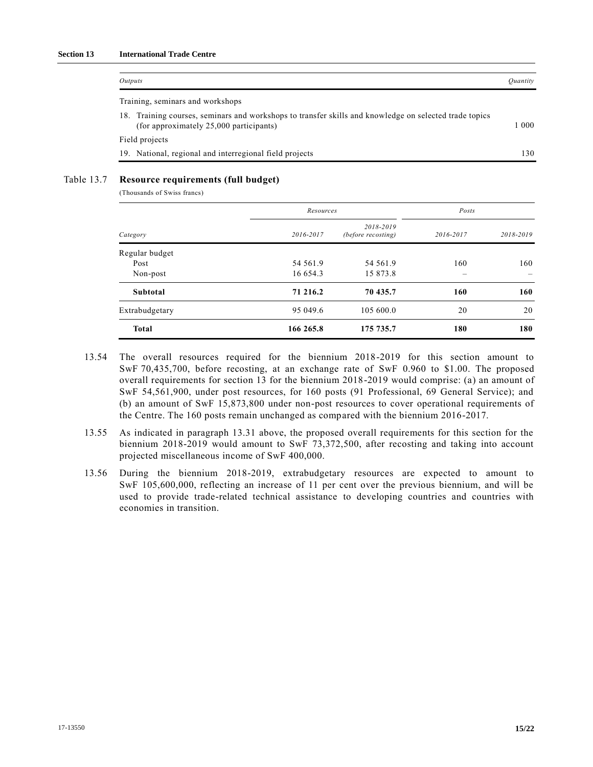| Outputs                                                                                                                                           | <i>Ouantity</i> |
|---------------------------------------------------------------------------------------------------------------------------------------------------|-----------------|
| Training, seminars and workshops                                                                                                                  |                 |
| 18. Training courses, seminars and workshops to transfer skills and knowledge on selected trade topics<br>(for approximately 25,000 participants) | 1 000           |
| Field projects                                                                                                                                    |                 |
| 19. National, regional and interregional field projects                                                                                           | 130.            |

## Table 13.7 **Resource requirements (full budget)**

(Thousands of Swiss francs)

|                 |           | Resources                       |           |           |  |
|-----------------|-----------|---------------------------------|-----------|-----------|--|
| Category        | 2016-2017 | 2018-2019<br>(before recosting) | 2016-2017 | 2018-2019 |  |
| Regular budget  |           |                                 |           |           |  |
| Post            | 54 561.9  | 54 561.9                        | 160       | 160       |  |
| Non-post        | 16 654.3  | 15 873.8                        |           |           |  |
| <b>Subtotal</b> | 71 216.2  | 70 435.7                        | 160       | 160       |  |
| Extrabudgetary  | 95 049.6  | 105 600.0                       | 20        | 20        |  |
| <b>Total</b>    | 166 265.8 | 175 735.7                       | 180       | 180       |  |

- 13.54 The overall resources required for the biennium 2018-2019 for this section amount to SwF 70,435,700, before recosting, at an exchange rate of SwF 0.960 to \$1.00. The proposed overall requirements for section 13 for the biennium 2018-2019 would comprise: (a) an amount of SwF 54,561,900, under post resources, for 160 posts (91 Professional, 69 General Service); and (b) an amount of SwF 15,873,800 under non-post resources to cover operational requirements of the Centre. The 160 posts remain unchanged as compared with the biennium 2016-2017.
- 13.55 As indicated in paragraph 13.31 above, the proposed overall requirements for this section for the biennium 2018-2019 would amount to SwF 73,372,500, after recosting and taking into account projected miscellaneous income of SwF 400,000.
- 13.56 During the biennium 2018-2019, extrabudgetary resources are expected to amount to SwF 105,600,000, reflecting an increase of 11 per cent over the previous biennium, and will be used to provide trade-related technical assistance to developing countries and countries with economies in transition.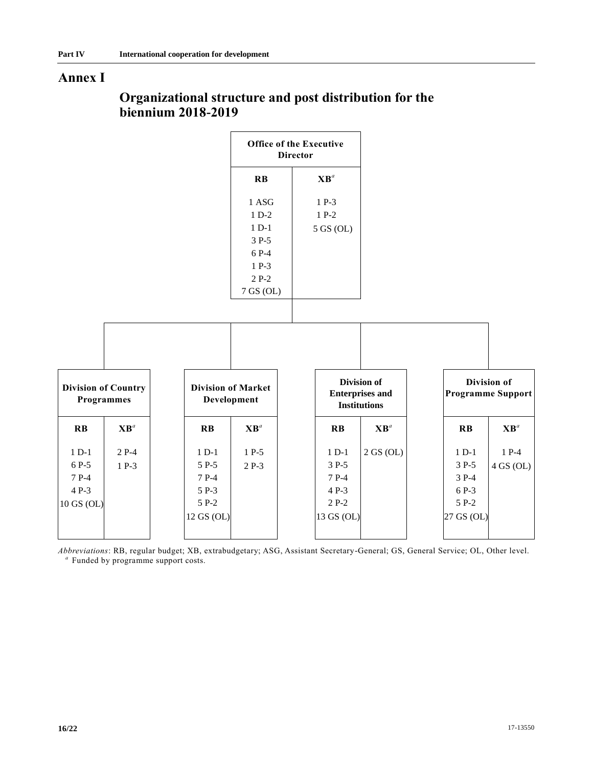# **Annex I**

|                                                                       |                                                           | <b>Office of the Executive</b><br><b>Director</b>                             |                                                            |                                                              |                                                           |                                         |
|-----------------------------------------------------------------------|-----------------------------------------------------------|-------------------------------------------------------------------------------|------------------------------------------------------------|--------------------------------------------------------------|-----------------------------------------------------------|-----------------------------------------|
|                                                                       |                                                           | $R$ $B$                                                                       | $\mathbf{X}\mathbf{B}^a$                                   |                                                              |                                                           |                                         |
|                                                                       |                                                           | 1 ASG<br>$1 D-2$<br>$1 D-1$<br>3 P-5<br>6 P-4<br>1 P-3<br>$2P-2$<br>7 GS (OL) | $1 P-3$<br>$1 P-2$<br>5 GS (OL)                            |                                                              |                                                           |                                         |
|                                                                       |                                                           |                                                                               |                                                            |                                                              |                                                           |                                         |
| <b>Division of Country</b><br><b>Programmes</b>                       | <b>Division of Market</b><br>Development                  |                                                                               |                                                            | Division of<br><b>Enterprises and</b><br><b>Institutions</b> |                                                           | Division of<br><b>Programme Support</b> |
| $\mathbf{X}\mathbf{B}^{a}$<br>$\mathbf{R}$ <b>B</b>                   | $\mathbf{R}$ <b>B</b>                                     | $\mathbf{X}\mathbf{B}^a$                                                      | $R$ $B$                                                    | $\mathbf{X}\mathbf{B}^a$                                     | $R$ $B$                                                   | $\mathbf{X}\mathbf{B}^a$                |
| $1 D-1$<br>$2P-4$<br>6 P-5<br>$1 P-3$<br>7 P-4<br>4 P-3<br>10 GS (OL) | $1 D-1$<br>5 P-5<br>7 P-4<br>5 P-3<br>5 P-2<br>12 GS (OL) | $1 P-5$<br>$2P-3$                                                             | $1 D-1$<br>3 P-5<br>7 P-4<br>4 P-3<br>$2P-2$<br>13 GS (OL) | 2 GS (OL)                                                    | $1 D-1$<br>3 P-5<br>3 P-4<br>6 P-3<br>5 P-2<br>27 GS (OL) | $1 P-4$<br>$4$ GS (OL)                  |

# **Organizational structure and post distribution for the biennium 2018-2019**

*Abbreviations*: RB, regular budget; XB, extrabudgetary; ASG, Assistant Secretary-General; GS, General Service; OL, Other level. *a* Funded by programme support costs.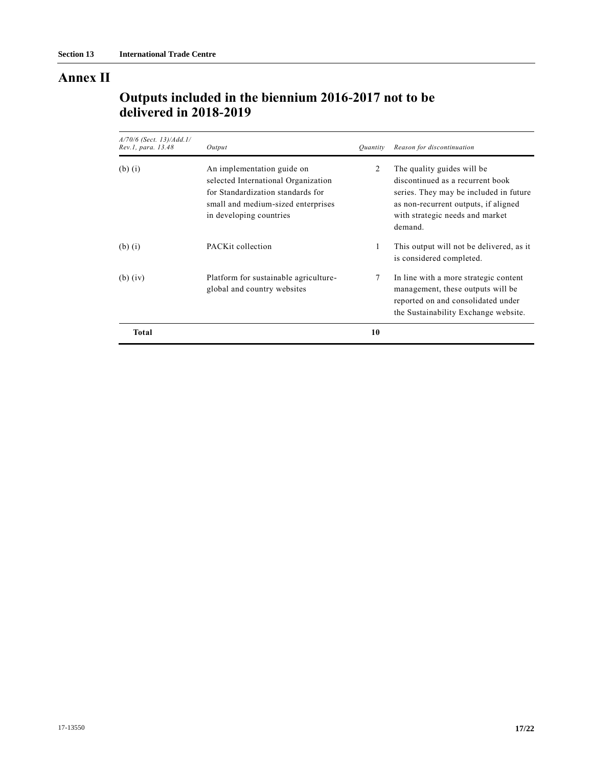# **Annex II**

# **Outputs included in the biennium 2016-2017 not to be delivered in 2018-2019**

| A/70/6 (Sect. 13)/Add.1/<br>Rev.1, para. 13.48 | Output                                                                                                                                                                  | <i><u><b>Ouantity</b></u></i> | Reason for discontinuation                                                                                                                                                                     |
|------------------------------------------------|-------------------------------------------------------------------------------------------------------------------------------------------------------------------------|-------------------------------|------------------------------------------------------------------------------------------------------------------------------------------------------------------------------------------------|
| $(b)$ $(i)$                                    | An implementation guide on<br>selected International Organization<br>for Standardization standards for<br>small and medium-sized enterprises<br>in developing countries | 2                             | The quality guides will be<br>discontinued as a recurrent book<br>series. They may be included in future<br>as non-recurrent outputs, if aligned<br>with strategic needs and market<br>demand. |
| $(b)$ $(i)$                                    | PACK <sub>it</sub> collection                                                                                                                                           | 1                             | This output will not be delivered, as it<br>is considered completed.                                                                                                                           |
| $(b)$ (iv)                                     | Platform for sustainable agriculture-<br>global and country websites                                                                                                    | 7                             | In line with a more strategic content<br>management, these outputs will be<br>reported on and consolidated under<br>the Sustainability Exchange website.                                       |
| Total                                          |                                                                                                                                                                         | 10                            |                                                                                                                                                                                                |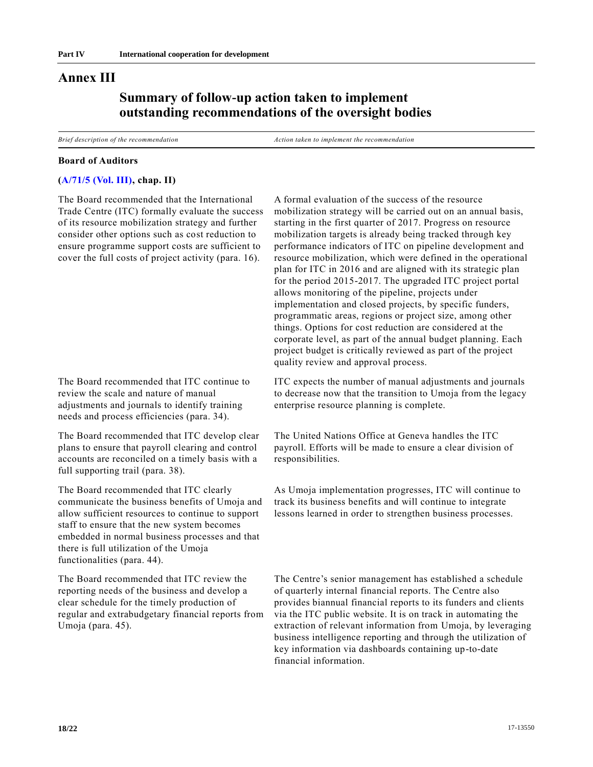# **Annex III**

# **Summary of follow-up action taken to implement outstanding recommendations of the oversight bodies**

*Brief description of the recommendation Action taken to implement the recommendation*

#### **Board of Auditors**

### **[\(A/71/5 \(Vol. III\),](https://undocs.org/A/71/5(Vol.III)) chap. II)**

The Board recommended that the International Trade Centre (ITC) formally evaluate the success of its resource mobilization strategy and further consider other options such as cost reduction to ensure programme support costs are sufficient to cover the full costs of project activity (para. 16).

The Board recommended that ITC continue to review the scale and nature of manual adjustments and journals to identify training needs and process efficiencies (para. 34).

The Board recommended that ITC develop clear plans to ensure that payroll clearing and control accounts are reconciled on a timely basis with a full supporting trail (para. 38).

The Board recommended that ITC clearly communicate the business benefits of Umoja and allow sufficient resources to continue to support staff to ensure that the new system becomes embedded in normal business processes and that there is full utilization of the Umoja functionalities (para. 44).

The Board recommended that ITC review the reporting needs of the business and develop a clear schedule for the timely production of regular and extrabudgetary financial reports from Umoja (para. 45).

A formal evaluation of the success of the resource mobilization strategy will be carried out on an annual basis, starting in the first quarter of 2017. Progress on resource mobilization targets is already being tracked through key performance indicators of ITC on pipeline development and resource mobilization, which were defined in the operational plan for ITC in 2016 and are aligned with its strategic plan for the period 2015-2017. The upgraded ITC project portal allows monitoring of the pipeline, projects under implementation and closed projects, by specific funders, programmatic areas, regions or project size, among other things. Options for cost reduction are considered at the corporate level, as part of the annual budget planning. Each project budget is critically reviewed as part of the project quality review and approval process.

ITC expects the number of manual adjustments and journals to decrease now that the transition to Umoja from the legacy enterprise resource planning is complete.

The United Nations Office at Geneva handles the ITC payroll. Efforts will be made to ensure a clear division of responsibilities.

As Umoja implementation progresses, ITC will continue to track its business benefits and will continue to integrate lessons learned in order to strengthen business processes.

The Centre's senior management has established a schedule of quarterly internal financial reports. The Centre also provides biannual financial reports to its funders and clients via the ITC public website. It is on track in automating the extraction of relevant information from Umoja, by leveraging business intelligence reporting and through the utilization of key information via dashboards containing up-to-date financial information.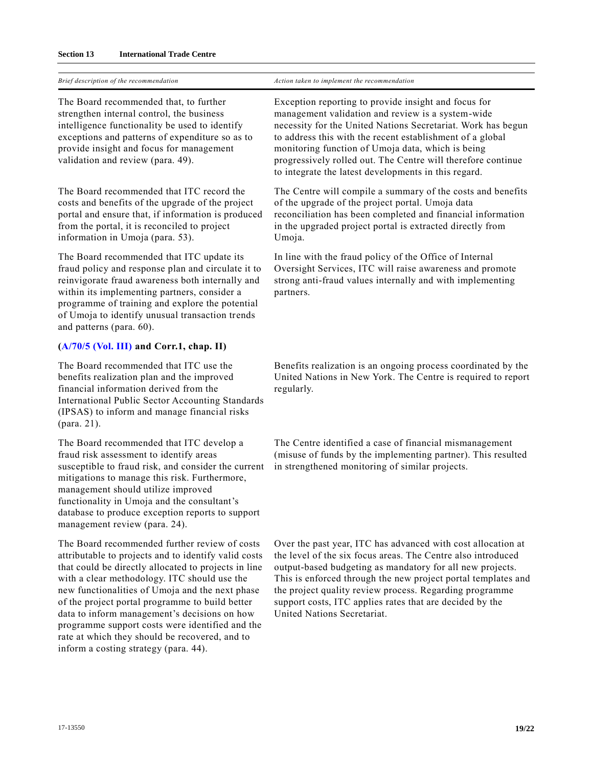### **Section 13 International Trade Centre**

|  |  | Brief description of the recommendation |  |
|--|--|-----------------------------------------|--|
|  |  |                                         |  |

The Board recommended that, to further strengthen internal control, the business intelligence functionality be used to identify exceptions and patterns of expenditure so as to provide insight and focus for management validation and review (para. 49).

The Board recommended that ITC record the costs and benefits of the upgrade of the project portal and ensure that, if information is produced from the portal, it is reconciled to project information in Umoja (para. 53).

The Board recommended that ITC update its fraud policy and response plan and circulate it to reinvigorate fraud awareness both internally and within its implementing partners, consider a programme of training and explore the potential of Umoja to identify unusual transaction trends and patterns (para. 60).

## **[\(A/70/5 \(Vol. III\)](https://undocs.org/A/70/5(Vol.III)) and Corr.1, chap. II)**

The Board recommended that ITC use the benefits realization plan and the improved financial information derived from the International Public Sector Accounting Standards (IPSAS) to inform and manage financial risks (para. 21).

The Board recommended that ITC develop a fraud risk assessment to identify areas susceptible to fraud risk, and consider the current mitigations to manage this risk. Furthermore, management should utilize improved functionality in Umoja and the consultant's database to produce exception reports to support management review (para. 24).

The Board recommended further review of costs attributable to projects and to identify valid costs that could be directly allocated to projects in line with a clear methodology. ITC should use the new functionalities of Umoja and the next phase of the project portal programme to build better data to inform management's decisions on how programme support costs were identified and the rate at which they should be recovered, and to inform a costing strategy (para. 44).

*Brief description of the recommendation Action taken to implement the recommendation*

Exception reporting to provide insight and focus for management validation and review is a system-wide necessity for the United Nations Secretariat. Work has begun to address this with the recent establishment of a global monitoring function of Umoja data, which is being progressively rolled out. The Centre will therefore continue to integrate the latest developments in this regard.

The Centre will compile a summary of the costs and benefits of the upgrade of the project portal. Umoja data reconciliation has been completed and financial information in the upgraded project portal is extracted directly from Umoja.

In line with the fraud policy of the Office of Internal Oversight Services, ITC will raise awareness and promote strong anti-fraud values internally and with implementing partners.

Benefits realization is an ongoing process coordinated by the United Nations in New York. The Centre is required to report regularly.

The Centre identified a case of financial mismanagement (misuse of funds by the implementing partner). This resulted in strengthened monitoring of similar projects.

Over the past year, ITC has advanced with cost allocation at the level of the six focus areas. The Centre also introduced output-based budgeting as mandatory for all new projects. This is enforced through the new project portal templates and the project quality review process. Regarding programme support costs, ITC applies rates that are decided by the United Nations Secretariat.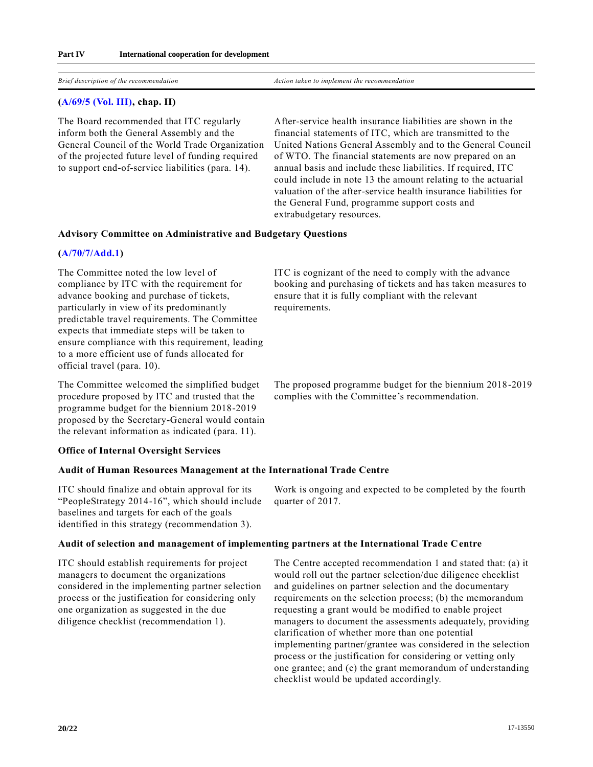*Brief description of the recommendation Action taken to implement the recommendation*

### **[\(A/69/5 \(Vol. III\),](https://undocs.org/A/69/5(Vol.III)) chap. II)**

The Board recommended that ITC regularly inform both the General Assembly and the General Council of the World Trade Organization of the projected future level of funding required to support end-of-service liabilities (para. 14).

After-service health insurance liabilities are shown in the financial statements of ITC, which are transmitted to the United Nations General Assembly and to the General Council of WTO. The financial statements are now prepared on an annual basis and include these liabilities. If required, ITC could include in note 13 the amount relating to the actuarial valuation of the after-service health insurance liabilities for the General Fund, programme support costs and extrabudgetary resources.

#### **Advisory Committee on Administrative and Budgetary Questions**

#### **[\(A/70/7/Add.1\)](https://undocs.org/A/70/7/Add.1)**

The Committee noted the low level of compliance by ITC with the requirement for advance booking and purchase of tickets, particularly in view of its predominantly predictable travel requirements. The Committee expects that immediate steps will be taken to ensure compliance with this requirement, leading to a more efficient use of funds allocated for official travel (para. 10).

ITC is cognizant of the need to comply with the advance booking and purchasing of tickets and has taken measures to ensure that it is fully compliant with the relevant requirements.

The proposed programme budget for the biennium 2018-2019

complies with the Committee's recommendation.

The Committee welcomed the simplified budget procedure proposed by ITC and trusted that the programme budget for the biennium 2018-2019 proposed by the Secretary-General would contain the relevant information as indicated (para. 11).

### **Office of Internal Oversight Services**

#### **Audit of Human Resources Management at the International Trade Centre**

ITC should finalize and obtain approval for its "PeopleStrategy 2014-16", which should include baselines and targets for each of the goals identified in this strategy (recommendation 3).

Work is ongoing and expected to be completed by the fourth quarter of 2017.

#### **Audit of selection and management of implementing partners at the International Trade Centre**

ITC should establish requirements for project managers to document the organizations considered in the implementing partner selection process or the justification for considering only one organization as suggested in the due diligence checklist (recommendation 1).

The Centre accepted recommendation 1 and stated that: (a) it would roll out the partner selection/due diligence checklist and guidelines on partner selection and the documentary requirements on the selection process; (b) the memorandum requesting a grant would be modified to enable project managers to document the assessments adequately, providing clarification of whether more than one potential implementing partner/grantee was considered in the selection process or the justification for considering or vetting only one grantee; and (c) the grant memorandum of understanding checklist would be updated accordingly.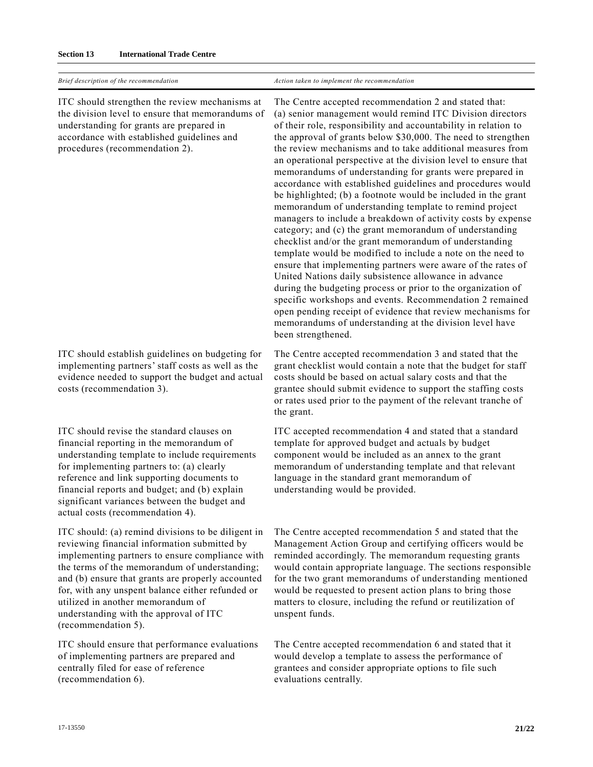| Brief description of the recommendation                                                                                                                                                                                                                                                                                                                                 | Action taken to implement the recommendation                                                                                                                                                                                                                                                                                                                                                                                                                                                                                                                                                                                                                                                                                                                                                                                                                                                                                                                                                                                                                                                                                                                                                                                                                                                           |
|-------------------------------------------------------------------------------------------------------------------------------------------------------------------------------------------------------------------------------------------------------------------------------------------------------------------------------------------------------------------------|--------------------------------------------------------------------------------------------------------------------------------------------------------------------------------------------------------------------------------------------------------------------------------------------------------------------------------------------------------------------------------------------------------------------------------------------------------------------------------------------------------------------------------------------------------------------------------------------------------------------------------------------------------------------------------------------------------------------------------------------------------------------------------------------------------------------------------------------------------------------------------------------------------------------------------------------------------------------------------------------------------------------------------------------------------------------------------------------------------------------------------------------------------------------------------------------------------------------------------------------------------------------------------------------------------|
| ITC should strengthen the review mechanisms at<br>the division level to ensure that memorandums of<br>understanding for grants are prepared in<br>accordance with established guidelines and<br>procedures (recommendation 2).                                                                                                                                          | The Centre accepted recommendation 2 and stated that:<br>(a) senior management would remind ITC Division directors<br>of their role, responsibility and accountability in relation to<br>the approval of grants below \$30,000. The need to strengthen<br>the review mechanisms and to take additional measures from<br>an operational perspective at the division level to ensure that<br>memorandums of understanding for grants were prepared in<br>accordance with established guidelines and procedures would<br>be highlighted; (b) a footnote would be included in the grant<br>memorandum of understanding template to remind project<br>managers to include a breakdown of activity costs by expense<br>category; and (c) the grant memorandum of understanding<br>checklist and/or the grant memorandum of understanding<br>template would be modified to include a note on the need to<br>ensure that implementing partners were aware of the rates of<br>United Nations daily subsistence allowance in advance<br>during the budgeting process or prior to the organization of<br>specific workshops and events. Recommendation 2 remained<br>open pending receipt of evidence that review mechanisms for<br>memorandums of understanding at the division level have<br>been strengthened. |
| ITC should establish guidelines on budgeting for<br>implementing partners' staff costs as well as the<br>evidence needed to support the budget and actual<br>costs (recommendation 3).                                                                                                                                                                                  | The Centre accepted recommendation 3 and stated that the<br>grant checklist would contain a note that the budget for staff<br>costs should be based on actual salary costs and that the<br>grantee should submit evidence to support the staffing costs<br>or rates used prior to the payment of the relevant tranche of<br>the grant.                                                                                                                                                                                                                                                                                                                                                                                                                                                                                                                                                                                                                                                                                                                                                                                                                                                                                                                                                                 |
| ITC should revise the standard clauses on<br>financial reporting in the memorandum of<br>understanding template to include requirements<br>for implementing partners to: (a) clearly<br>reference and link supporting documents to<br>financial reports and budget; and (b) explain<br>significant variances between the budget and<br>actual costs (recommendation 4). | ITC accepted recommendation 4 and stated that a standard<br>template for approved budget and actuals by budget<br>component would be included as an annex to the grant<br>memorandum of understanding template and that relevant<br>language in the standard grant memorandum of<br>understanding would be provided.                                                                                                                                                                                                                                                                                                                                                                                                                                                                                                                                                                                                                                                                                                                                                                                                                                                                                                                                                                                   |
| ITC should: (a) remind divisions to be diligent in<br>reviewing financial information submitted by<br>implementing partners to ensure compliance with<br>the terms of the memorandum of understanding;                                                                                                                                                                  | The Centre accepted recommendation 5 and stated that the<br>Management Action Group and certifying officers would be<br>reminded accordingly. The memorandum requesting grants<br>would contain appropriate language. The sections responsible                                                                                                                                                                                                                                                                                                                                                                                                                                                                                                                                                                                                                                                                                                                                                                                                                                                                                                                                                                                                                                                         |

unspent funds.

and (b) ensure that grants are properly accounted for, with any unspent balance either refunded or utilized in another memorandum of understanding with the approval of ITC (recommendation 5).

ITC should ensure that performance evaluations of implementing partners are prepared and centrally filed for ease of reference (recommendation 6).

The Centre accepted recommendation 6 and stated that it would develop a template to assess the performance of grantees and consider appropriate options to file such evaluations centrally.

for the two grant memorandums of understanding mentioned would be requested to present action plans to bring those matters to closure, including the refund or reutilization of